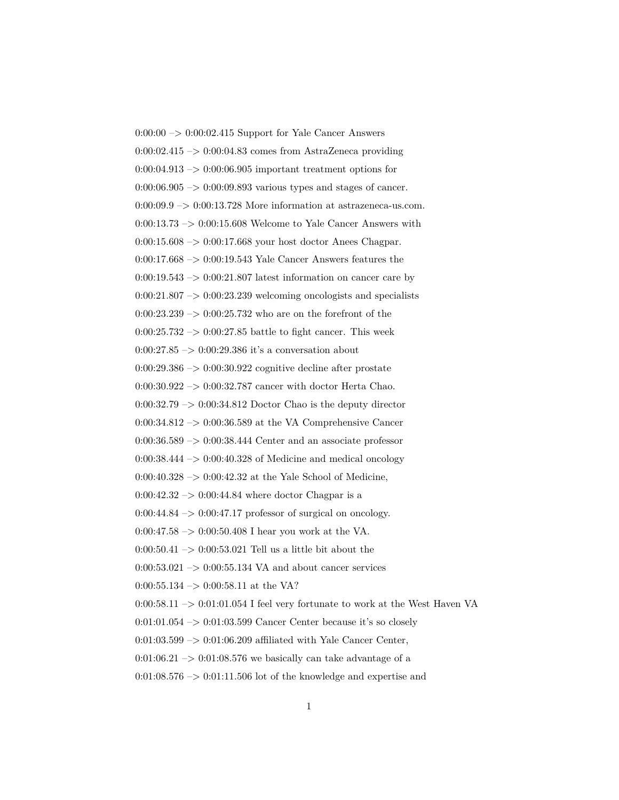$0:00:00 \rightarrow 0:00:02.415$  Support for Yale Cancer Answers  $0.00{\cdot}02.415 \rightarrow 0{\cdot}00{\cdot}04.83$  comes from AstraZeneca providing  $0:00:04.913 \rightarrow 0:00:06.905$  important treatment options for  $0:00:06.905 \rightarrow 0:00:09.893$  various types and stages of cancer.  $0:00:09.9 \rightarrow 0:00:13.728$  More information at astrazeneca-us.com.  $0:00:13.73 \rightarrow 0:00:15.608$  Welcome to Yale Cancer Answers with 0:00:15.608 –> 0:00:17.668 your host doctor Anees Chagpar. 0:00:17.668 –> 0:00:19.543 Yale Cancer Answers features the  $0:00:19.543 \rightarrow 0:00:21.807$  latest information on cancer care by  $0:00:21.807 \rightarrow 0:00:23.239$  welcoming oncologists and specialists  $0:00:23.239 \rightarrow 0:00:25.732$  who are on the forefront of the  $0:00:25.732 \rightarrow 0:00:27.85$  battle to fight cancer. This week  $0:00:27.85\ensuremath{\rightarrow} 0:00:29.386$  it's a conversation about  $0:00:29.386 \rightarrow 0:00:30.922$  cognitive decline after prostate 0:00:30.922 –> 0:00:32.787 cancer with doctor Herta Chao.  $0:00:32.79 \rightarrow 0:00:34.812$  Doctor Chao is the deputy director 0:00:34.812  $\rightarrow$  0:00:36.589 at the VA Comprehensive Cancer 0:00:36.589 –> 0:00:38.444 Center and an associate professor  $0:00:38.444 \rightarrow 0:00:40.328$  of Medicine and medical oncology 0:00:40.328  $\rightarrow$  0:00:42.32 at the Yale School of Medicine,  $0:00:42.32 \rightarrow 0:00:44.84$  where doctor Chagpar is a  $0:00:44.84 \rightarrow 0:00:47.17$  professor of surgical on oncology.  $0:00:47.58 \rightarrow 0:00:50.408$  I hear you work at the VA. 0:00:50.41  $\rightarrow$  0:00:53.021 Tell us a little bit about the  $0:00:53.021 \rightarrow 0:00:55.134 \text{ VA}$  and about cancer services  $0:00:55.134 \rightarrow 0:00:58.11$  at the VA?  $0:00:58.11 \rightarrow 0:01:01.054$  I feel very fortunate to work at the West Haven VA  $0:01:01.054 \rightarrow 0:01:03.599$  Cancer Center because it's so closely 0:01:03.599 –> 0:01:06.209 affiliated with Yale Cancer Center,  $0:01:06.21 \rightarrow 0:01:08.576$  we basically can take advantage of a  $0:01:08.576 \rightarrow 0:01:11.506$  lot of the knowledge and expertise and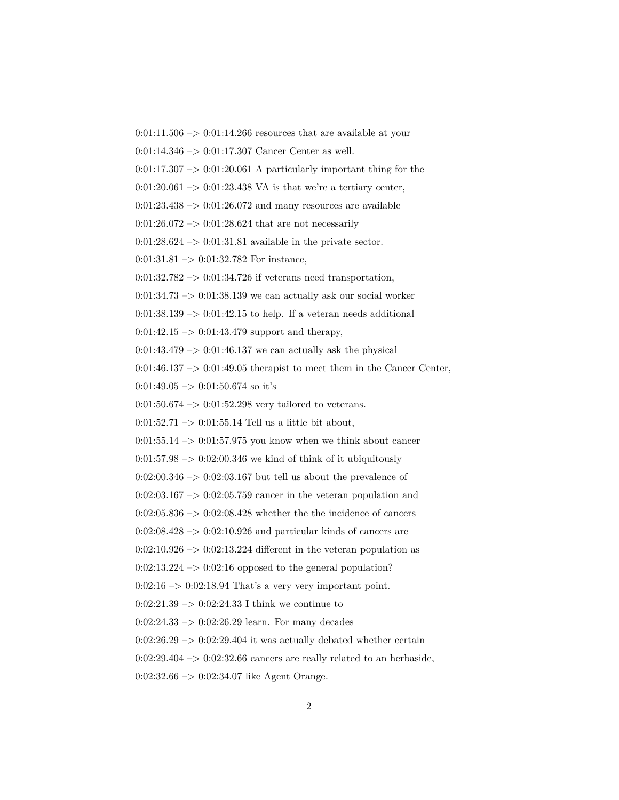$0:01:11.506 \rightarrow 0:01:14.266$  resources that are available at your 0:01:14.346 –> 0:01:17.307 Cancer Center as well.  $0:01:17.307 \rightarrow 0:01:20.061$  A particularly important thing for the  $0:01:20.061 \rightarrow 0:01:23.438 \text{ VA}$  is that we're a tertiary center,  $0:01:23.438 \rightarrow 0:01:26.072$  and many resources are available  $0:01:26.072 \rightarrow 0:01:28.624$  that are not necessarily 0:01:28.624  $\mathord{\sim}$  0:01:31.81 available in the private sector.  $0:01:31.81 \rightarrow 0:01:32.782$  For instance,  $0:01:32.782 \rightarrow 0:01:34.726$  if veterans need transportation,  $0:01:34.73 \rightarrow 0:01:38.139$  we can actually ask our social worker  $0:01:38.139 \rightarrow 0:01:42.15$  to help. If a veteran needs additional  $0:01:42.15 \rightarrow 0:01:43.479$  support and therapy,  $0:01:43.479 \rightarrow 0:01:46.137$  we can actually ask the physical  $0:01:46.137 \rightarrow 0:01:49.05$  therapist to meet them in the Cancer Center,  $0:01:49.05 \rightarrow 0:01:50.674$  so it's 0:01:50.674 –> 0:01:52.298 very tailored to veterans.  $0:01:52.71 \rightarrow 0:01:55.14$  Tell us a little bit about,  $0:01:55.14 \rightarrow 0:01:57.975$  you know when we think about cancer  $0:01:57.98 \rightarrow 0:02:00.346$  we kind of think of it ubiquitously  $0:02:00.346 \rightarrow 0:02:03.167$  but tell us about the prevalence of  $0:02:03.167 \rightarrow 0:02:05.759$  cancer in the veteran population and  $0:02:05.836 \rightarrow 0:02:08.428$  whether the the incidence of cancers  $0:02:08.428 \rightarrow 0:02:10.926$  and particular kinds of cancers are  $0:02:10.926 \rightarrow 0:02:13.224$  different in the veteran population as  $0:02:13.224 \rightarrow 0:02:16$  opposed to the general population?  $0:02:16 \rightarrow 0:02:18.94$  That's a very very important point.  $0:02:21.39 \rightarrow 0:02:24.33$  I think we continue to  $0:02:24.33 \rightarrow 0:02:26.29$  learn. For many decades  $0:02:26.29 \rightarrow 0:02:29.404$  it was actually debated whether certain  $0:02:29.404 \rightarrow 0:02:32.66$  cancers are really related to an herbaside, 0:02:32.66 –> 0:02:34.07 like Agent Orange.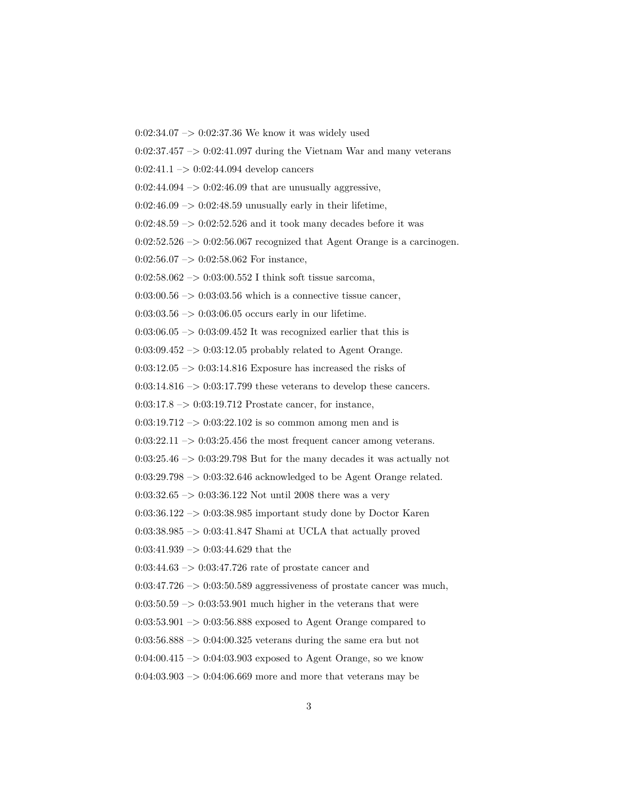0:02:34.07  $->$  0:02:37.36 We know it was widely used

 $0:02:37.457 \rightarrow 0:02:41.097$  during the Vietnam War and many veterans

 $0:02:41.1 \rightarrow 0:02:44.094$  develop cancers

 $0:02:44.094 \rightarrow 0:02:46.09$  that are unusually aggressive,

 $0:02:46.09 \rightarrow 0:02:48.59$  unusually early in their lifetime,

 $0:02:48.59 \rightarrow 0:02:52.526$  and it took many decades before it was

 $0:02:52.526 \rightarrow 0:02:56.067$  recognized that Agent Orange is a carcinogen.

 $0:02:56.07 \rightarrow 0:02:58.062$  For instance,

0:02:58.062 –> 0:03:00.552 I think soft tissue sarcoma,

 $0.03:00.56 \rightarrow 0.03:03.56$  which is a connective tissue cancer,

 $0:03:03.56 \rightarrow 0:03:06.05$  occurs early in our lifetime.

 $0:03:06.05 \rightarrow 0:03:09.452$  It was recognized earlier that this is

 $0:03:09.452 \rightarrow 0:03:12.05$  probably related to Agent Orange.

 $0:03:12.05 \rightarrow 0:03:14.816$  Exposure has increased the risks of

 $0:03:14.816 \rightarrow 0:03:17.799$  these veterans to develop these cancers.

 $0:03:17.8 \rightarrow 0:03:19.712$  Prostate cancer, for instance,

 $0:03:19.712 \rightarrow 0:03:22.102$  is so common among men and is

 $0:03:22.11 \rightarrow 0:03:25.456$  the most frequent cancer among veterans.

 $0:03:25.46 \rightarrow 0:03:29.798$  But for the many decades it was actually not

0:03:29.798 –> 0:03:32.646 acknowledged to be Agent Orange related.

0:03:32.65 –> 0:03:36.122 Not until 2008 there was a very

 $0:03:36.122 \rightarrow 0:03:38.985$  important study done by Doctor Karen

0:03:38.985 –> 0:03:41.847 Shami at UCLA that actually proved

0:03:41.939 –> 0:03:44.629 that the

 $0:03:44.63 \rightarrow 0:03:47.726$  rate of prostate cancer and

 $0:03:47.726 \rightarrow 0:03:50.589$  aggressiveness of prostate cancer was much,

 $0:03:50.59 \rightarrow 0:03:53.901$  much higher in the veterans that were

 $0:03:53.901 \rightarrow 0:03:56.888$  exposed to Agent Orange compared to

 $0.03:56.888 \rightarrow 0.04:00.325$  veterans during the same era but not

0:04:00.415  $\rightarrow$  0:04:03.903 exposed to Agent Orange, so we know

 $0:04:03.903 \rightarrow 0:04:06.669$  more and more that veterans may be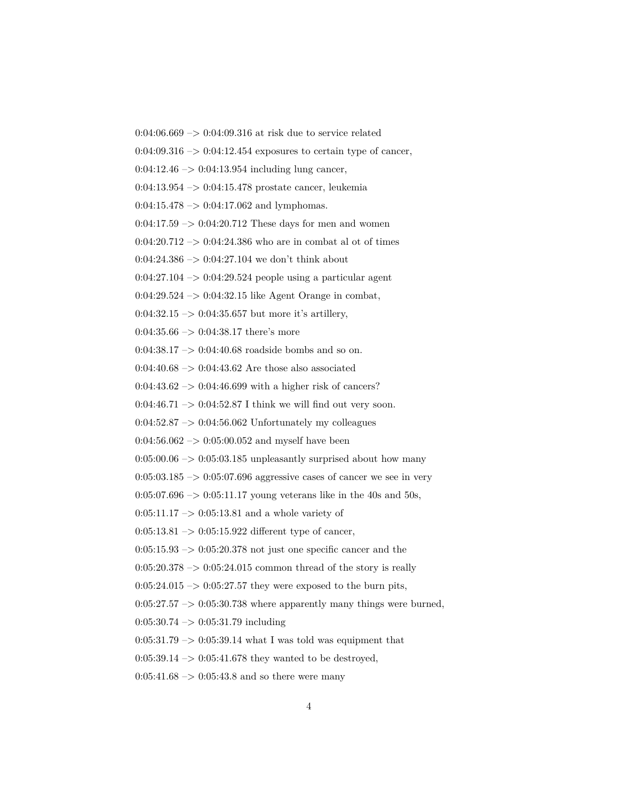0:04:06.669 –> 0:04:09.316 at risk due to service related

 $0:04:09.316 \rightarrow 0:04:12.454$  exposures to certain type of cancer,

 $0:04:12.46 \rightarrow 0:04:13.954$  including lung cancer,

0:04:13.954 –> 0:04:15.478 prostate cancer, leukemia

 $0:04:15.478 \rightarrow 0:04:17.062$  and lymphomas.

 $0:04:17.59 \rightarrow 0:04:20.712$  These days for men and women

 $0:04:20.712 \rightarrow 0:04:24.386$  who are in combat al ot of times

 $0:04:24.386 \rightarrow 0:04:27.104$  we don't think about

 $0:04:27.104 \rightarrow 0:04:29.524$  people using a particular agent

0:04:29.524  $\rightarrow$  0:04:32.15 like Agent Orange in combat,

0:04:32.15  $\rightarrow$  0:04:35.657 but more it's artillery,

 $0:04:35.66 \rightarrow 0:04:38.17$  there's more

0:04:38.17 –> 0:04:40.68 roadside bombs and so on.

 $0.04:40.68 \rightarrow 0.04:43.62$  Are those also associated

 $0:04:43.62 \rightarrow 0:04:46.699$  with a higher risk of cancers?

 $0:04:46.71 \rightarrow 0:04:52.87$  I think we will find out very soon.

 $0.04:52.87 \rightarrow 0.04:56.062$  Unfortunately my colleagues

 $0.04:56.062 \rightarrow 0.05:00.052$  and myself have been

 $0:05:00.06 \rightarrow 0:05:03.185$  unpleasantly surprised about how many

 $0:05:03.185 \rightarrow 0:05:07.696$  aggressive cases of cancer we see in very

 $0:05:07.696 \rightarrow 0:05:11.17$  young veterans like in the 40s and 50s,

 $0:05:11.17 \rightarrow 0:05:13.81$  and a whole variety of

 $0:05:13.81 \rightarrow 0:05:15.922$  different type of cancer,

 $0:05:15.93 \rightarrow 0:05:20.378$  not just one specific cancer and the

 $0.05:20.378 \rightarrow 0.05:24.015$  common thread of the story is really

 $0:05:24.015 \rightarrow 0:05:27.57$  they were exposed to the burn pits,

 $0:05:27.57 \rightarrow 0:05:30.738$  where apparently many things were burned,

 $0:05:30.74 \rightarrow 0:05:31.79$  including

 $0:05:31.79 \rightarrow 0:05:39.14$  what I was told was equipment that

 $0:05:39.14 \rightarrow 0:05:41.678$  they wanted to be destroyed,

 $0:05:41.68 \rightarrow 0:05:43.8$  and so there were many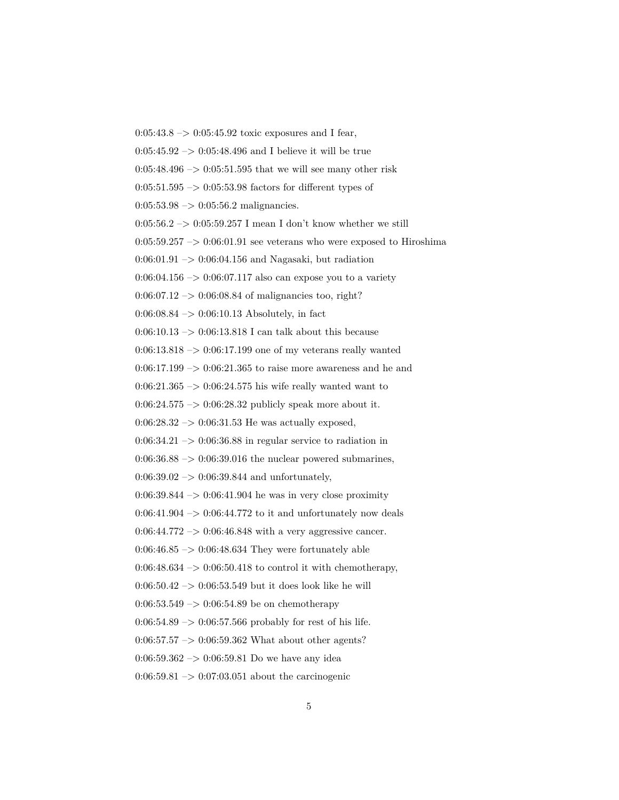$0:05:43.8 \to 0:05:45.92$  toxic exposures and I fear,  $0:05:45.92 \rightarrow 0:05:48.496$  and I believe it will be true  $0:05:48.496 \rightarrow 0:05:51.595$  that we will see many other risk  $0:05:51.595 \rightarrow 0:05:53.98$  factors for different types of  $0:05:53.98 \rightarrow 0:05:56.2$  malignancies.  $0:05:56.2 \rightarrow 0:05:59.257$  I mean I don't know whether we still  $0:05:59.257 \rightarrow 0:06:01.91$  see veterans who were exposed to Hiroshima  $0:06:01.91 \rightarrow 0:06:04.156$  and Nagasaki, but radiation  $0:06:04.156 \rightarrow 0:06:07.117$  also can expose you to a variety  $0.06:07.12 \rightarrow 0.06:08.84$  of malignancies too, right?  $0:06:08.84 \rightarrow 0:06:10.13$  Absolutely, in fact 0:06:10.13  $\rightarrow$  0:06:13.818 I can talk about this because 0:06:13.818 –> 0:06:17.199 one of my veterans really wanted  $0:06:17.199 \rightarrow 0:06:21.365$  to raise more awareness and he and  $0:06:21.365 \rightarrow 0:06:24.575$  his wife really wanted want to  $0:06:24.575 \rightarrow 0:06:28.32$  publicly speak more about it.  $0:06:28.32 \rightarrow 0:06:31.53$  He was actually exposed,  $0:06:34.21 \rightarrow 0:06:36.88$  in regular service to radiation in  $0.06:36.88 \rightarrow 0.06:39.016$  the nuclear powered submarines,  $0:06:39.02 \rightarrow 0:06:39.844$  and unfortunately,  $0:06:39.844 \rightarrow 0:06:41.904$  he was in very close proximity  $0:06:41.904 \rightarrow 0:06:44.772$  to it and unfortunately now deals  $0:06:44.772 \rightarrow 0:06:46.848$  with a very aggressive cancer.  $0:06:46.85 \rightarrow 0:06:48.634$  They were fortunately able  $0.06:48.634 \rightarrow 0.06:50.418$  to control it with chemotherapy,  $0.06:50.42 \rightarrow 0.06:53.549$  but it does look like he will  $0:06:53.549 \rightarrow 0:06:54.89$  be on chemotherapy  $0:06:54.89 \rightarrow 0:06:57.566$  probably for rest of his life.  $0:06:57.57 \rightarrow 0:06:59.362$  What about other agents?  $0:06:59.362 \rightarrow 0:06:59.81$  Do we have any idea 0:06:59.81  $\rightarrow$  0:07:03.051 about the carcinogenic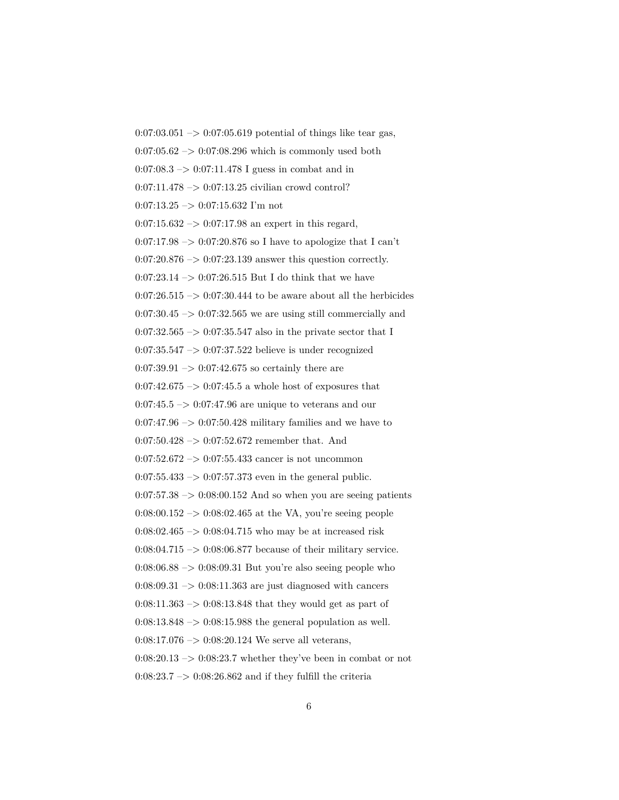$0:07:03.051 \rightarrow 0:07:05.619$  potential of things like tear gas,  $0:07:05.62 \rightarrow 0:07:08.296$  which is commonly used both  $0:07:08.3 \rightarrow 0:07:11.478$  I guess in combat and in  $0:07:11.478 \rightarrow 0:07:13.25$  civilian crowd control?  $0:07:13.25 \rightarrow 0:07:15.632$  I'm not  $0:07:15.632 \rightarrow 0:07:17.98$  an expert in this regard,  $0:07:17.98 \rightarrow 0:07:20.876$  so I have to apologize that I can't 0:07:20.876 –> 0:07:23.139 answer this question correctly. 0:07:23.14  $\rightarrow$  0:07:26.515 But I do think that we have  $0:07:26.515 \rightarrow 0:07:30.444$  to be aware about all the herbicides  $0:07:30.45 \rightarrow 0:07:32.565$  we are using still commercially and 0:07:32.565  $\rightarrow$  0:07:35.547 also in the private sector that I 0:07:35.547 –> 0:07:37.522 believe is under recognized  $0:07:39.91 \rightarrow 0:07:42.675$  so certainly there are  $0:07:42.675 \rightarrow 0:07:45.5$  a whole host of exposures that  $0:07:45.5 \rightarrow 0:07:47.96$  are unique to veterans and our  $0:07:47.96 \rightarrow 0:07:50.428$  military families and we have to  $0:07:50.428 \rightarrow 0:07:52.672$  remember that. And  $0:07:52.672 \rightarrow 0:07:55.433$  cancer is not uncommon  $0:07:55.433 \rightarrow 0:07:57.373$  even in the general public.  $0:07:57.38 \rightarrow 0:08:00.152$  And so when you are seeing patients 0:08:00.152 –> 0:08:02.465 at the VA, you're seeing people  $0:08:02.465 \rightarrow 0:08:04.715$  who may be at increased risk  $0:08:04.715 \rightarrow 0:08:06.877$  because of their military service.  $0.08:06.88 \rightarrow 0.08:09.31$  But you're also seeing people who  $0:08:09.31 \rightarrow 0:08:11.363$  are just diagnosed with cancers  $0:08:11.363 \rightarrow 0:08:13.848$  that they would get as part of  $0:08:13.848 \rightarrow 0:08:15.988$  the general population as well.  $0:08:17.076 \rightarrow 0:08:20.124$  We serve all veterans,  $0:08:20.13 \rightarrow 0:08:23.7$  whether they've been in combat or not  $0:08:23.7 \rightarrow 0:08:26.862$  and if they fulfill the criteria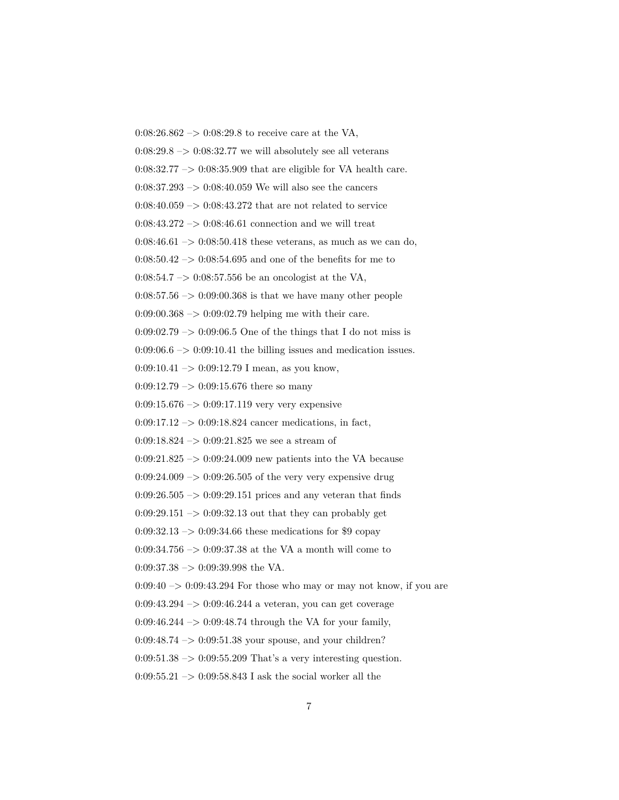$0:08:26.862 \rightarrow 0:08:29.8$  to receive care at the VA,  $0.08:29.8 \rightarrow 0.08:32.77$  we will absolutely see all veterans  $0:08:32.77 \rightarrow 0:08:35.909$  that are eligible for VA health care.  $0.08:37.293 \rightarrow 0.08:40.059$  We will also see the cancers  $0:08:40.059 \rightarrow 0:08:43.272$  that are not related to service  $0:08:43.272 \rightarrow 0:08:46.61$  connection and we will treat  $0:08:46.61 \rightarrow 0:08:50.418$  these veterans, as much as we can do,  $0.08:50.42 \rightarrow 0.08:54.695$  and one of the benefits for me to 0:08:54.7 –> 0:08:57.556 be an oncologist at the VA,  $0.08:57.56 \rightarrow 0.09:00.368$  is that we have many other people  $0.09:00.368 \rightarrow 0.09:02.79$  helping me with their care.  $0:09:02.79 \rightarrow 0:09:06.5$  One of the things that I do not miss is  $0:09:06.6 \rightarrow 0:09:10.41$  the billing issues and medication issues.  $0:09:10.41 \rightarrow 0:09:12.79$  I mean, as you know,  $0:09:12.79 \rightarrow 0:09:15.676$  there so many  $0.09:15.676 \rightarrow 0.09:17.119$  very very expensive  $0:09:17.12 \rightarrow 0:09:18.824$  cancer medications, in fact,  $0:09:18.824 \rightarrow 0:09:21.825$  we see a stream of  $0.09:21.825 \rightarrow 0.09:24.009$  new patients into the VA because  $0:09:24.009 \rightarrow 0:09:26.505$  of the very very expensive drug  $0:09:26.505 \rightarrow 0:09:29.151$  prices and any veteran that finds  $0:09:29.151 \rightarrow 0:09:32.13$  out that they can probably get  $0:09:32.13 \rightarrow 0:09:34.66$  these medications for \$9 copay 0:09:34.756  $\rightarrow$  0:09:37.38 at the VA a month will come to  $0:09:37.38 \rightarrow 0:09:39.998$  the VA.  $0:09:40 \rightarrow 0:09:43.294$  For those who may or may not know, if you are  $0:09:43.294 \rightarrow 0:09:46.244$  a veteran, you can get coverage 0:09:46.244 –> 0:09:48.74 through the VA for your family,  $0:09:48.74 \rightarrow 0:09:51.38$  your spouse, and your children?  $0.09:51.38 \rightarrow 0.09:55.209$  That's a very interesting question. 0:09:55.21  $\rightarrow$  0:09:58.843 I ask the social worker all the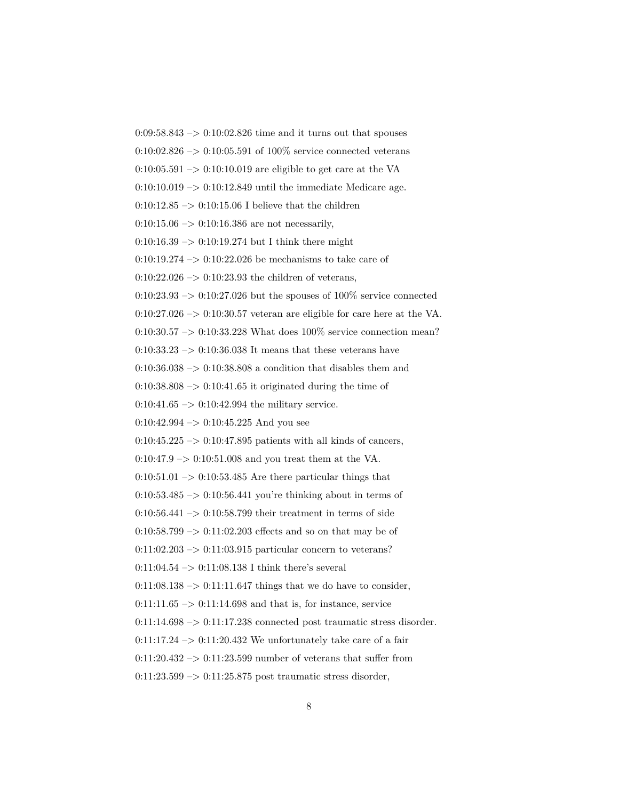$0.09:58.843 \rightarrow 0.10:02.826$  time and it turns out that spouses  $0:10:02.826 \rightarrow 0:10:05.591$  of 100% service connected veterans  $0:10:05.591 \rightarrow 0:10:10.019$  are eligible to get care at the VA  $0:10:10.019 \rightarrow 0:10:12.849$  until the immediate Medicare age. 0:10:12.85  $\rightarrow$  0:10:15.06 I believe that the children  $0:10:15.06 \rightarrow 0:10:16.386$  are not necessarily,  $0:10:16.39 \rightarrow 0:10:19.274$  but I think there might 0:10:19.274 –> 0:10:22.026 be mechanisms to take care of  $0:10:22.026 \rightarrow 0:10:23.93$  the children of veterans,  $0:10:23.93 \rightarrow 0:10:27.026$  but the spouses of  $100\%$  service connected  $0:10:27.026 \rightarrow 0:10:30.57$  veteran are eligible for care here at the VA. 0:10:30.57 –> 0:10:33.228 What does 100% service connection mean?  $0:10:33.23 \rightarrow 0:10:36.038$  It means that these veterans have  $0:10:36.038 \rightarrow 0:10:38.808$  a condition that disables them and  $0:10:38.808 \rightarrow 0:10:41.65$  it originated during the time of  $0:10:41.65 \rightarrow 0:10:42.994$  the military service.  $0:10:42.994 \rightarrow 0:10:45.225$  And you see  $0:10:45.225 \rightarrow 0:10:47.895$  patients with all kinds of cancers,  $0:10:47.9 \rightarrow 0:10:51.008$  and you treat them at the VA.  $0:10:51.01\ensuremath{\;\rightarrow\;}0:10:53.485$  Are there particular things that  $0:10:53.485 \rightarrow 0:10:56.441$  you're thinking about in terms of  $0.10:56.441 \rightarrow 0.10:58.799$  their treatment in terms of side  $0:10:58.799 \rightarrow 0:11:02.203$  effects and so on that may be of  $0:11:02.203 \rightarrow 0:11:03.915$  particular concern to veterans?  $0:11:04.54 \rightarrow 0:11:08.138$  I think there's several  $0:11:08.138 \rightarrow 0:11:11.647$  things that we do have to consider,  $0:11:11.65 \rightarrow 0:11:14.698$  and that is, for instance, service  $0:11:14.698 \rightarrow 0:11:17.238$  connected post traumatic stress disorder.  $0:11:17.24 \rightarrow 0:11:20.432$  We unfortunately take care of a fair  $0:11:20.432 \rightarrow 0:11:23.599$  number of veterans that suffer from  $0:11:23.599 \rightarrow 0:11:25.875$  post traumatic stress disorder,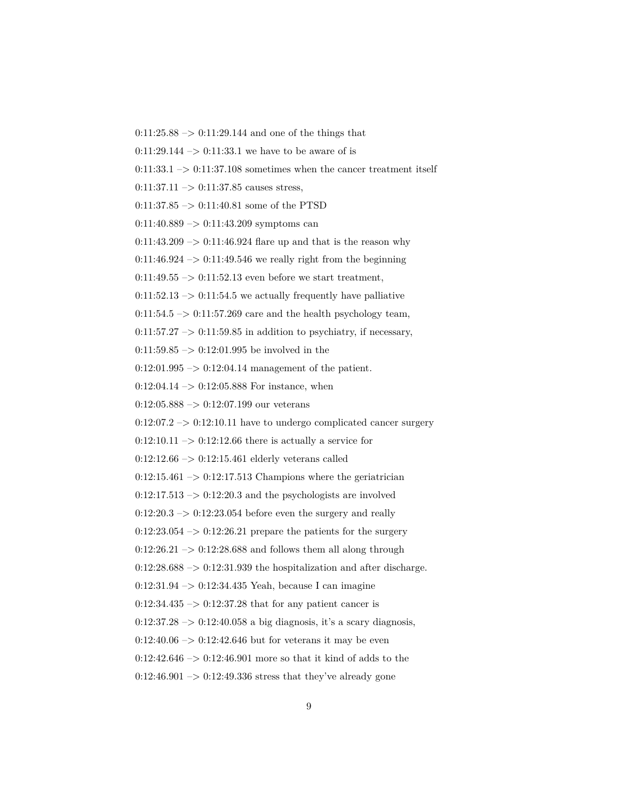$0:11:25.88 \rightarrow 0:11:29.144$  and one of the things that

 $0:11:29.144 \rightarrow 0:11:33.1$  we have to be aware of is

 $0:11:33.1 \rightarrow 0:11:37.108$  sometimes when the cancer treatment itself

 $0:11:37.11 \rightarrow 0:11:37.85$  causes stress,

 $0:11:37.85 \rightarrow 0:11:40.81$  some of the PTSD

 $0:11:40.889 \rightarrow 0:11:43.209$  symptoms can

 $0:11:43.209 \rightarrow 0:11:46.924$  flare up and that is the reason why

 $0:11:46.924 \rightarrow 0:11:49.546$  we really right from the beginning

0:11:49.55  $\rightarrow$  0:11:52.13 even before we start treatment,

 $0:11:52.13 \rightarrow 0:11:54.5$  we actually frequently have palliative

 $0:11:54.5 \rightarrow 0:11:57.269$  care and the health psychology team,

 $0:11:57.27 \rightarrow 0:11:59.85$  in addition to psychiatry, if necessary,

 $0:11:59.85 \rightarrow 0:12:01.995$  be involved in the

 $0:12:01.995 \rightarrow 0:12:04.14$  management of the patient.

 $0:12:04.14 \rightarrow 0:12:05.888$  For instance, when

 $0:12:05.888 \rightarrow 0:12:07.199$  our veterans

 $0:12:07.2 \rightarrow 0:12:10.11$  have to undergo complicated cancer surgery

 $0:12:10.11 \rightarrow 0:12:12.66$  there is actually a service for

 $0:12:12.66 \rightarrow 0:12:15.461$  elderly veterans called

 $0:12:15.461 \rightarrow 0:12:17.513$  Champions where the geriatrician

 $0:12:17.513 \rightarrow 0:12:20.3$  and the psychologists are involved

 $0:12:20.3 \rightarrow 0:12:23.054$  before even the surgery and really

 $0:12:23.054 \rightarrow 0:12:26.21$  prepare the patients for the surgery

 $0:12:26.21 \rightarrow 0:12:28.688$  and follows them all along through

 $0.12:28.688 \rightarrow 0.12:31.939$  the hospitalization and after discharge.

0:12:31.94 –> 0:12:34.435 Yeah, because I can imagine

 $0:12:34.435 \rightarrow 0:12:37.28$  that for any patient cancer is

 $0:12:37.28 \rightarrow 0:12:40.058$  a big diagnosis, it's a scary diagnosis,

 $0:12:40.06 \rightarrow 0:12:42.646$  but for veterans it may be even

 $0:12:42.646 \rightarrow 0:12:46.901$  more so that it kind of adds to the

 $0:12:46.901 \rightarrow 0:12:49.336$  stress that they've already gone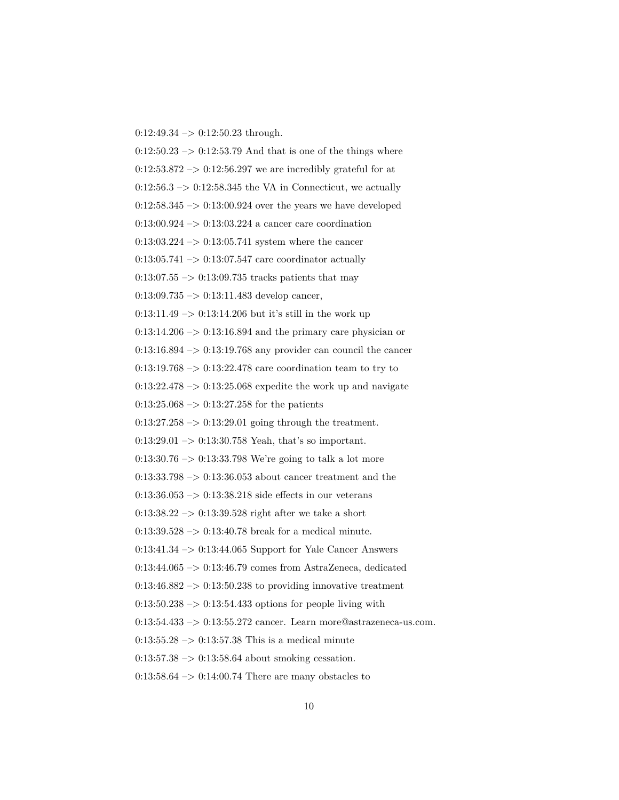$0:12:49.34 \rightarrow 0:12:50.23$  through.

 $0:12:50.23 \rightarrow 0:12:53.79$  And that is one of the things where  $0:12:53.872 \rightarrow 0:12:56.297$  we are incredibly grateful for at  $0:12:56.3 \rightarrow 0:12:58.345$  the VA in Connecticut, we actually  $0:12:58.345 \rightarrow 0:13:00.924$  over the years we have developed  $0:13:00.924 \rightarrow 0:13:03.224$  a cancer care coordination  $0:13:03.224\ensuremath{\:\rightarrow\:}0:13:05.741$  system where the cancer  $0:13:05.741 \rightarrow 0:13:07.547$  care coordinator actually  $0:13:07.55 \rightarrow 0:13:09.735$  tracks patients that may  $0:13:09.735 \rightarrow 0:13:11.483$  develop cancer,  $0:13:11.49 \rightarrow 0:13:14.206$  but it's still in the work up  $0:13:14.206 \rightarrow 0:13:16.894$  and the primary care physician or  $0:13:16.894 \rightarrow 0:13:19.768$  any provider can council the cancer  $0:13:19.768 \rightarrow 0:13:22.478$  care coordination team to try to  $0:13:22.478 \rightarrow 0:13:25.068$  expedite the work up and navigate  $0:13:25.068 \rightarrow 0:13:27.258$  for the patients  $0:13:27.258 \rightarrow 0:13:29.01$  going through the treatment.  $0:13:29.01 \rightarrow 0:13:30.758$  Yeah, that's so important.  $0.13:30.76 \rightarrow 0.13:33.798$  We're going to talk a lot more 0:13:33.798 –> 0:13:36.053 about cancer treatment and the  $0:13:36.053 \rightarrow 0:13:38.218$  side effects in our veterans  $0:13:38.22 \rightarrow 0:13:39.528$  right after we take a short  $0:13:39.528 \rightarrow 0:13:40.78$  break for a medical minute. 0:13:41.34 –> 0:13:44.065 Support for Yale Cancer Answers 0:13:44.065 –> 0:13:46.79 comes from AstraZeneca, dedicated  $0:13:46.882 \rightarrow 0:13:50.238$  to providing innovative treatment  $0:13:50.238 \rightarrow 0:13:54.433$  options for people living with  $0:13:54.433 \rightarrow 0:13:55.272$  cancer. Learn more@astrazeneca-us.com.  $0:13:55.28 \rightarrow 0:13:57.38$  This is a medical minute  $0:13:57.38 \rightarrow 0:13:58.64$  about smoking cessation.  $0:13:58.64 \rightarrow 0:14:00.74$  There are many obstacles to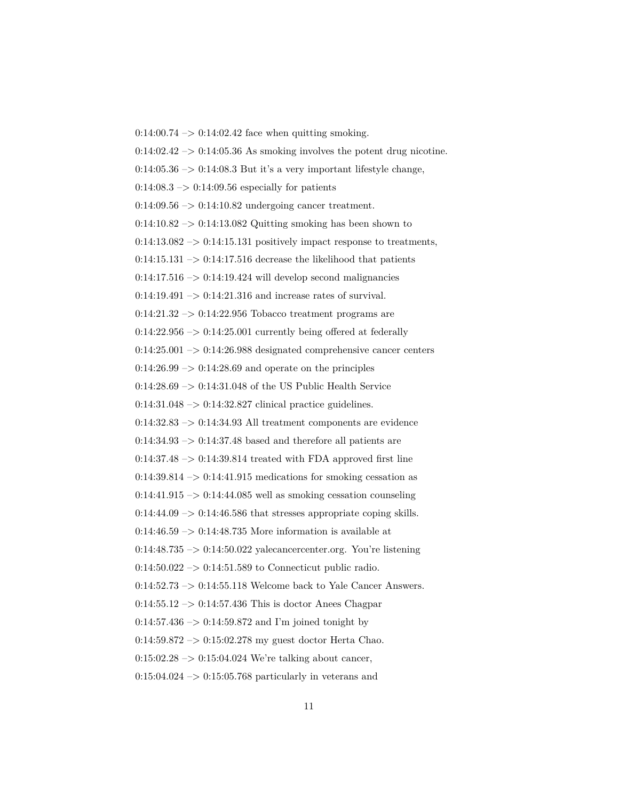$0:14:00.74 \rightarrow 0:14:02.42$  face when quitting smoking.  $0:14:02.42 \rightarrow 0:14:05.36$  As smoking involves the potent drug nicotine.  $0:14:05.36 \rightarrow 0:14:08.3$  But it's a very important lifestyle change,  $0:14:08.3 \rightarrow 0:14:09.56$  especially for patients  $0:14:09.56 \rightarrow 0:14:10.82$  undergoing cancer treatment.  $0:14:10.82 \rightarrow 0:14:13.082$  Quitting smoking has been shown to  $0:14:13.082 \rightarrow 0:14:15.131$  positively impact response to treatments,  $0:14:15.131 \rightarrow 0:14:17.516$  decrease the likelihood that patients  $0:14:17.516 \rightarrow 0:14:19.424$  will develop second malignancies  $0:14:19.491 \rightarrow 0:14:21.316$  and increase rates of survival.  $0.14:21.32 \rightarrow 0.14:22.956$  Tobacco treatment programs are  $0:14:22.956 \rightarrow 0:14:25.001$  currently being offered at federally  $0:14:25.001 \rightarrow 0:14:26.988$  designated comprehensive cancer centers  $0.14:26.99 \rightarrow 0.14:28.69$  and operate on the principles  $0.14:28.69 \rightarrow 0.14:31.048$  of the US Public Health Service  $0:14:31.048 \rightarrow 0:14:32.827$  clinical practice guidelines.  $0:14:32.83 \rightarrow 0:14:34.93$  All treatment components are evidence  $0:14:34.93 \rightarrow 0:14:37.48$  based and therefore all patients are  $0.14:37.48 \rightarrow 0.14:39.814$  treated with FDA approved first line  $0:14:39.814 \rightarrow 0:14:41.915$  medications for smoking cessation as  $0:14:41.915 \rightarrow 0:14:44.085$  well as smoking cessation counseling  $0:14:44.09 \rightarrow 0:14:46.586$  that stresses appropriate coping skills.  $0.14:46.59 \rightarrow 0.14:48.735$  More information is available at 0:14:48.735 –> 0:14:50.022 yalecancercenter.org. You're listening  $0:14:50.022 \rightarrow 0:14:51.589$  to Connecticut public radio.  $0:14:52.73 \rightarrow 0:14:55.118$  Welcome back to Yale Cancer Answers.  $0.14:55.12 \rightarrow 0.14:57.436$  This is doctor Anees Chagpar  $0:14:57.436 \rightarrow 0:14:59.872$  and I'm joined tonight by 0:14:59.872 –> 0:15:02.278 my guest doctor Herta Chao.  $0:15:02.28 \rightarrow 0:15:04.024$  We're talking about cancer,  $0:15:04.024 \rightarrow 0:15:05.768$  particularly in veterans and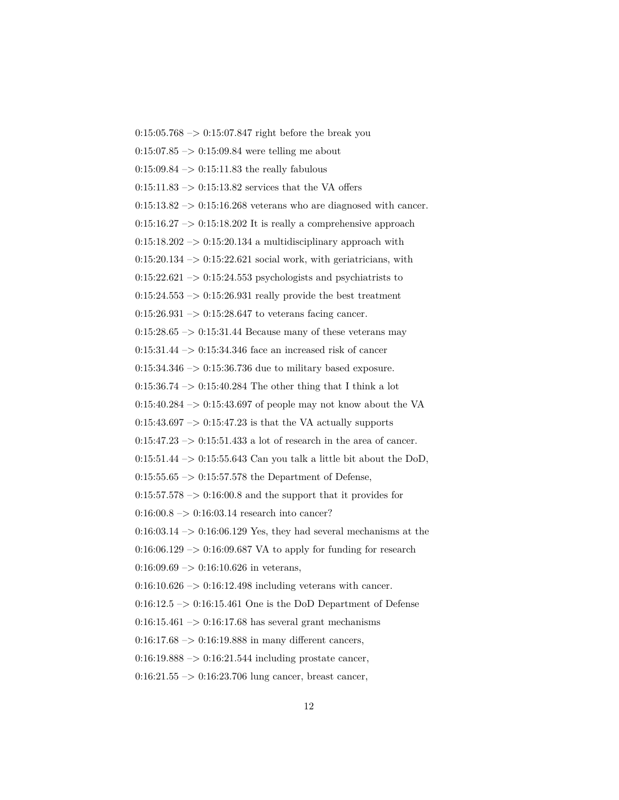$0:15:05.768 \rightarrow 0:15:07.847$  right before the break you  $0:15:07.85 \rightarrow 0:15:09.84$  were telling me about  $0:15:09.84 \rightarrow 0:15:11.83$  the really fabulous  $0:15:11.83 \rightarrow 0:15:13.82$  services that the VA offers  $0:15:13.82 \rightarrow 0:15:16.268$  veterans who are diagnosed with cancer.  $0:15:16.27 \rightarrow 0:15:18.202$  It is really a comprehensive approach  $0:15:18.202 \rightarrow 0:15:20.134$  a multidisciplinary approach with  $0:15:20.134 \rightarrow 0:15:22.621$  social work, with geriatricians, with  $0:15:22.621 \rightarrow 0:15:24.553$  psychologists and psychiatrists to  $0:15:24.553 \rightarrow 0:15:26.931$  really provide the best treatment  $0:15:26.931 \rightarrow 0:15:28.647$  to veterans facing cancer.  $0:15:28.65 \rightarrow 0:15:31.44$  Because many of these veterans may  $0:15:31.44\ensuremath{\rightarrow} 0:15:34.346$  face an increased risk of cancer  $0:15:34.346 \rightarrow 0:15:36.736$  due to military based exposure.  $0:15:36.74 \rightarrow 0:15:40.284$  The other thing that I think a lot  $0:15:40.284 \rightarrow 0:15:43.697$  of people may not know about the VA  $0:15:43.697 \rightarrow 0:15:47.23$  is that the VA actually supports  $0:15:47.23 \rightarrow 0:15:51.433$  a lot of research in the area of cancer.  $0:15:51.44 \rightarrow 0:15:55.643$  Can you talk a little bit about the DoD,  $0:15:55.65 \rightarrow 0:15:57.578$  the Department of Defense,  $0:15:57.578 \rightarrow 0:16:00.8$  and the support that it provides for  $0:16:00.8 \rightarrow 0:16:03.14$  research into cancer?  $0:16:03.14 \rightarrow 0:16:06.129$  Yes, they had several mechanisms at the  $0:16:06.129 \rightarrow 0:16:09.687$  VA to apply for funding for research  $0:16:09.69 \rightarrow 0:16:10.626$  in veterans,  $0:16:10.626 \rightarrow 0:16:12.498$  including veterans with cancer.  $0:16:12.5 \rightarrow 0:16:15.461$  One is the DoD Department of Defense  $0:16:15.461 \rightarrow 0:16:17.68$  has several grant mechanisms  $0:16:17.68 \rightarrow 0:16:19.888$  in many different cancers,  $0:16:19.888 \rightarrow 0:16:21.544$  including prostate cancer,  $0:16:21.55 \rightarrow 0:16:23.706$  lung cancer, breast cancer,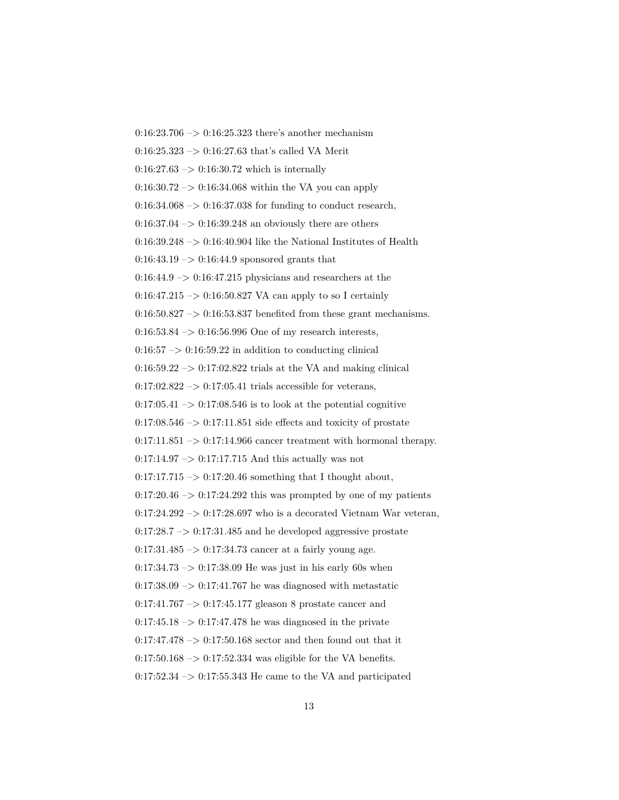$0:16:23.706 \rightarrow 0:16:25.323$  there's another mechanism  $0:16:25.323 \rightarrow 0:16:27.63$  that's called VA Merit  $0:16:27.63 \rightarrow 0:16:30.72$  which is internally  $0.16:30.72 \rightarrow 0.16:34.068$  within the VA you can apply  $0.16:34.068 \rightarrow 0.16:37.038$  for funding to conduct research,  $0.16:37.04 \rightarrow 0.16:39.248$  an obviously there are others  $0:16:39.248 \rightarrow 0:16:40.904$  like the National Institutes of Health  $0:16:43.19 \rightarrow 0:16:44.9$  sponsored grants that  $0:16:44.9 \rightarrow 0:16:47.215$  physicians and researchers at the 0:16:47.215 –> 0:16:50.827 VA can apply to so I certainly  $0:16:50.827 \rightarrow 0:16:53.837$  benefited from these grant mechanisms.  $0:16:53.84 \rightarrow 0:16:56.996$  One of my research interests,  $0:16:57 \rightarrow 0:16:59.22$  in addition to conducting clinical  $0.16:59.22 \rightarrow 0.17:02.822$  trials at the VA and making clinical  $0:17:02.822 \rightarrow 0:17:05.41$  trials accessible for veterans,  $0:17:05.41 \rightarrow 0:17:08.546$  is to look at the potential cognitive  $0:17:08.546 \rightarrow 0:17:11.851$  side effects and toxicity of prostate  $0:17:11.851 \rightarrow 0:17:14.966$  cancer treatment with hormonal therapy.  $0:17:14.97 \rightarrow 0:17:17.715$  And this actually was not  $0:17:17.715 \rightarrow 0:17:20.46$  something that I thought about,  $0:17:20.46 \rightarrow 0:17:24.292$  this was prompted by one of my patients  $0:17:24.292 \rightarrow 0:17:28.697$  who is a decorated Vietnam War veteran,  $0.17:28.7 \rightarrow 0.17:31.485$  and he developed aggressive prostate  $0:17:31.485 \rightarrow 0:17:34.73$  cancer at a fairly young age.  $0.17:34.73 \rightarrow 0.17:38.09$  He was just in his early 60s when  $0.17:38.09 \rightarrow 0.17:41.767$  he was diagnosed with metastatic 0:17:41.767 –> 0:17:45.177 gleason 8 prostate cancer and  $0:17:45.18 \rightarrow 0:17:47.478$  he was diagnosed in the private  $0:17:47.478 \rightarrow 0:17:50.168$  sector and then found out that it  $0.17:50.168 \rightarrow 0.17:52.334$  was eligible for the VA benefits.  $0:17:52.34 \rightarrow 0:17:55.343$  He came to the VA and participated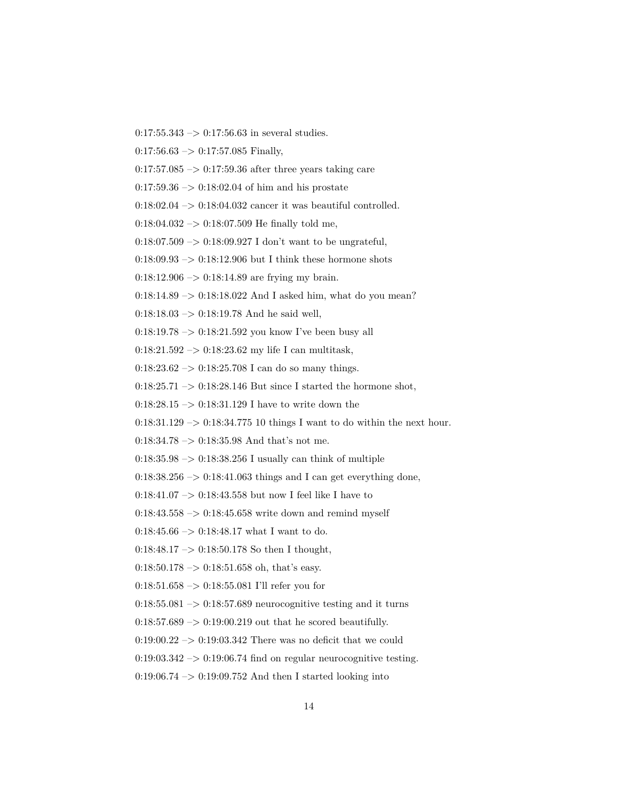- $0:17:55.343 \rightarrow 0:17:56.63$  in several studies.
- $0:17:56.63 \rightarrow 0:17:57.085$  Finally,
- $0.17:57.085 \rightarrow 0.17:59.36$  after three years taking care
- $0:17:59.36 \rightarrow 0:18:02.04$  of him and his prostate
- $0:18:02.04 \rightarrow 0:18:04.032$  cancer it was beautiful controlled.
- $0:18:04.032 \rightarrow 0:18:07.509$  He finally told me,
- $0:18:07.509 \rightarrow 0:18:09.927$  I don't want to be ungrateful,
- $0.18:09.93 \rightarrow 0.18:12.906$  but I think these hormone shots
- $0:18:12.906 \rightarrow 0:18:14.89$  are frying my brain.
- $0:18:14.89 \rightarrow 0:18:18.022$  And I asked him, what do you mean?
- $0:18:18.03 \rightarrow 0:18:19.78$  And he said well,
- $0:18:19.78 \rightarrow 0:18:21.592$  you know I've been busy all
- 0:18:21.592 –> 0:18:23.62 my life I can multitask,
- $0:18:23.62 \rightarrow 0:18:25.708$  I can do so many things.
- $0:18:25.71 \rightarrow 0:18:28.146$  But since I started the hormone shot,
- $0:18:28.15 \rightarrow 0:18:31.129$  I have to write down the
- 0:18:31.129 –> 0:18:34.775 10 things I want to do within the next hour.
- $0:18:34.78 \rightarrow 0:18:35.98$  And that's not me.
- $0.18:35.98 \rightarrow 0.18:38.256$  I usually can think of multiple
- $0:18:38.256 \rightarrow 0:18:41.063$  things and I can get everything done,
- 0:18:41.07 -> 0:18:43.558 but now I feel like I have to
- $0:18:43.558 \rightarrow 0:18:45.658$  write down and remind myself
- $0:18:45.66 \rightarrow 0:18:48.17$  what I want to do.
- $0:18:48.17 \rightarrow 0:18:50.178$  So then I thought,
- $0:18:50.178 \rightarrow 0:18:51.658$  oh, that's easy.
- $0:18:51.658 \rightarrow 0:18:55.081$  I'll refer you for
- $0:18:55.081 \rightarrow 0:18:57.689$  neurocognitive testing and it turns
- $0:18:57.689 \rightarrow 0:19:00.219$  out that he scored beautifully.
- $0.19:00.22 \rightarrow 0.19:03.342$  There was no deficit that we could
- $0:19:03.342 \rightarrow 0:19:06.74$  find on regular neurocognitive testing.
- 0:19:06.74 –> 0:19:09.752 And then I started looking into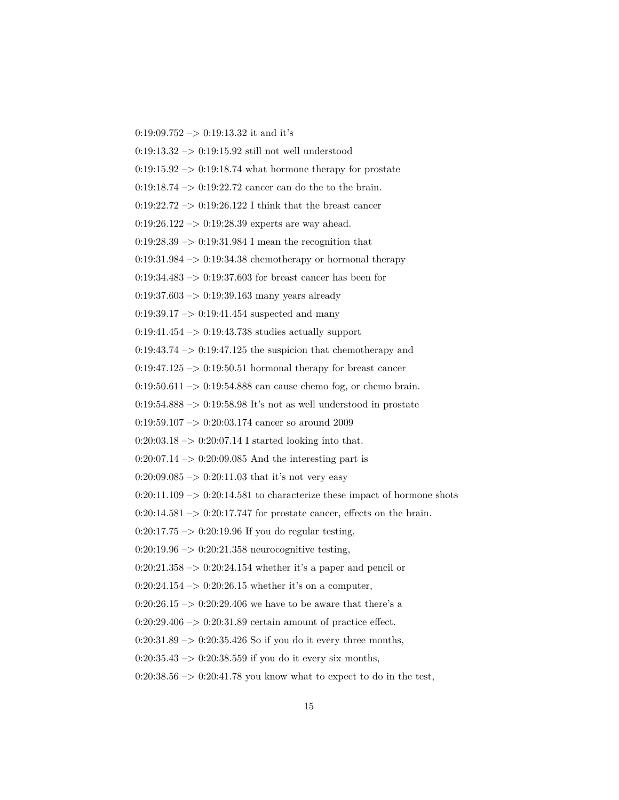0:19:09.752 -> 0:19:13.32 it and it's

0:19:13.32  $\rightarrow$  0:19:15.92 still not well understood

 $0:19:15.92 \rightarrow 0:19:18.74$  what hormone therapy for prostate

 $0:19:18.74 \rightarrow 0:19:22.72$  cancer can do the to the brain.

0:19:22.72  $\rightarrow$  0:19:26.122 I think that the breast cancer

 $0:19:26.122 \rightarrow 0:19:28.39$  experts are way ahead.

 $0.19{:}28.39\ensuremath{\rightarrow} 0.19{:}31.984$  I mean the recognition that

 $0:19:31.984 \rightarrow 0:19:34.38$  chemotherapy or hormonal therapy

0:19:34.483 –> 0:19:37.603 for breast cancer has been for

 $0:19:37.603 \rightarrow 0:19:39.163$  many years already

 $0:19:39.17 \rightarrow 0:19:41.454$  suspected and many

0:19:41.454 –> 0:19:43.738 studies actually support

 $0:19:43.74 \rightarrow 0:19:47.125$  the suspicion that chemotherapy and

 $0:19:47.125 \rightarrow 0:19:50.51$  hormonal therapy for breast cancer

 $0:19:50.611 \rightarrow 0:19:54.888$  can cause chemo fog, or chemo brain.

 $0:19:54.888 \rightarrow 0:19:58.98$  It's not as well understood in prostate

 $0:19:59.107 \rightarrow 0:20:03.174$  cancer so around 2009

 $0:20:03.18 \rightarrow 0:20:07.14$  I started looking into that.

 $0:20:07.14 \rightarrow 0:20:09.085$  And the interesting part is

 $0:20:09.085 \rightarrow 0:20:11.03$  that it's not very easy

 $0:20:11.109 \rightarrow 0:20:14.581$  to characterize these impact of hormone shots

 $0:20:14.581 \rightarrow 0:20:17.747$  for prostate cancer, effects on the brain.

 $0:20:17.75 \rightarrow 0:20:19.96$  If you do regular testing,

 $0:20:19.96 \rightarrow 0:20:21.358$  neurocognitive testing,

 $0:20:21.358 \rightarrow 0:20:24.154$  whether it's a paper and pencil or

 $0:20:24.154 \rightarrow 0:20:26.15$  whether it's on a computer,

0:20:26.15  $\rightarrow$  0:20:29.406 we have to be aware that there's a

 $0:20:29.406 \rightarrow 0:20:31.89$  certain amount of practice effect.

 $0:20:31.89 \rightarrow 0:20:35.426$  So if you do it every three months,

 $0:20:35.43 \rightarrow 0:20:38.559$  if you do it every six months,

 $0:20:38.56 \rightarrow 0:20:41.78$  you know what to expect to do in the test,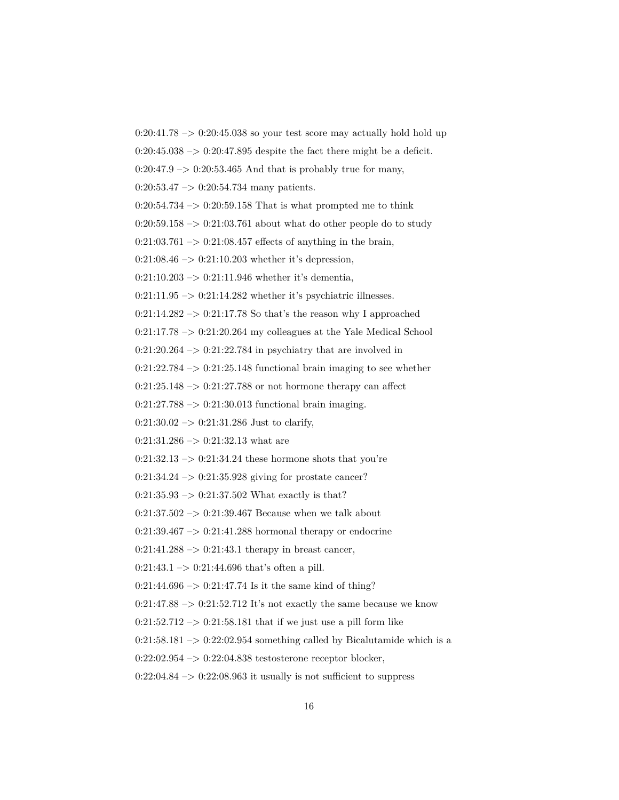$0:20:41.78 \rightarrow 0:20:45.038$  so your test score may actually hold hold up  $0:20:45.038 \rightarrow 0:20:47.895$  despite the fact there might be a deficit.

 $0:20:47.9 \rightarrow 0:20:53.465$  And that is probably true for many,

 $0:20:53.47 \rightarrow 0:20:54.734$  many patients.

 $0:20:54.734 \rightarrow 0:20:59.158$  That is what prompted me to think

 $0:20:59.158 \rightarrow 0:21:03.761$  about what do other people do to study

 $0:21:03.761 \rightarrow 0:21:08.457$  effects of anything in the brain,

 $0:21:08.46 \rightarrow 0:21:10.203$  whether it's depression,

 $0:21:10.203 \rightarrow 0:21:11.946$  whether it's dementia,

 $0:21:11.95 \rightarrow 0:21:14.282$  whether it's psychiatric illnesses.

 $0:21:14.282 \rightarrow 0:21:17.78$  So that's the reason why I approached

 $0:21:17.78 \rightarrow 0:21:20.264$  my colleagues at the Yale Medical School

 $0:21:20.264 \rightarrow 0:21:22.784$  in psychiatry that are involved in

 $0:21:22.784 \rightarrow 0:21:25.148$  functional brain imaging to see whether

 $0:21:25.148 \rightarrow 0:21:27.788$  or not hormone therapy can affect

 $0:21:27.788 \rightarrow 0:21:30.013$  functional brain imaging.

 $0:21:30.02 \rightarrow 0:21:31.286$  Just to clarify,

 $0:21:31.286 \rightarrow 0:21:32.13$  what are

 $0:21:32.13 \rightarrow 0:21:34.24$  these hormone shots that you're

 $0:21:34.24 \rightarrow 0:21:35.928$  giving for prostate cancer?

 $0:21:35.93 \rightarrow 0:21:37.502$  What exactly is that?

 $0:21:37.502 \rightarrow 0:21:39.467$  Because when we talk about

 $0:21:39.467 \rightarrow 0:21:41.288$  hormonal therapy or endocrine

 $0:21:41.288 \rightarrow 0:21:43.1$  therapy in breast cancer,

 $0:21:43.1 \rightarrow 0:21:44.696$  that's often a pill.

 $0:21:44.696 \rightarrow 0:21:47.74$  Is it the same kind of thing?

 $0:21:47.88 \rightarrow 0:21:52.712$  It's not exactly the same because we know

 $0:21:52.712 \rightarrow 0:21:58.181$  that if we just use a pill form like

 $0:21:58.181 \rightarrow 0:22:02.954$  something called by Bicalutamide which is a

0:22:02.954 –> 0:22:04.838 testosterone receptor blocker,

 $0:22:04.84 \rightarrow 0:22:08.963$  it usually is not sufficient to suppress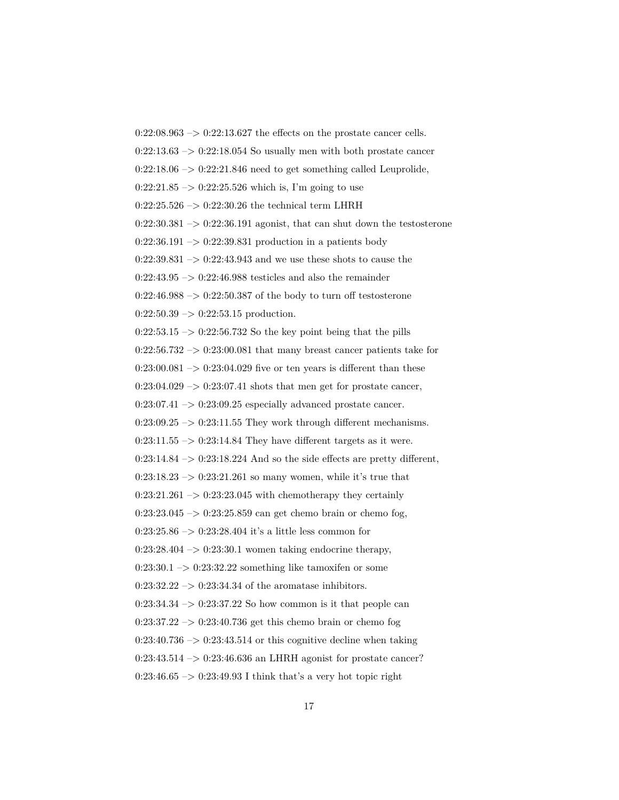$0:22:08.963 \rightarrow 0:22:13.627$  the effects on the prostate cancer cells. 0:22:13.63  $\mathord{\sim}$  0:22:18.054 So usually men with both prostate cancer  $0:22:18.06 \rightarrow 0:22:21.846$  need to get something called Leuprolide,  $0:22:21.85 \rightarrow 0:22:25.526$  which is, I'm going to use  $0:22:25.526 \rightarrow 0:22:30.26$  the technical term LHRH  $0:22:30.381 \rightarrow 0:22:36.191$  agonist, that can shut down the testosterone  $0:22:36.191 \rightarrow 0:22:39.831$  production in a patients body  $0:22:39.831 \rightarrow 0:22:43.943$  and we use these shots to cause the  $0:22:43.95 \rightarrow 0:22:46.988$  testicles and also the remainder  $0:22:46.988 \rightarrow 0:22:50.387$  of the body to turn off testosterone  $0:22:50.39 \rightarrow 0:22:53.15$  production.  $0:22:53.15 \rightarrow 0:22:56.732$  So the key point being that the pills  $0:22:56.732 \rightarrow 0:23:00.081$  that many breast cancer patients take for  $0:23:00.081 \rightarrow 0:23:04.029$  five or ten years is different than these  $0:23:04.029 \rightarrow 0:23:07.41$  shots that men get for prostate cancer,  $0:23:07.41 \rightarrow 0:23:09.25$  especially advanced prostate cancer.  $0:23:09.25 \rightarrow 0:23:11.55$  They work through different mechanisms.  $0:23:11.55 \rightarrow 0:23:14.84$  They have different targets as it were.  $0:23:14.84 \rightarrow 0:23:18.224$  And so the side effects are pretty different,  $0:23:18.23 \rightarrow 0:23:21.261$  so many women, while it's true that  $0:23:21.261 \rightarrow 0:23:23.045$  with chemotherapy they certainly  $0:23:23.045 \rightarrow 0:23:25.859$  can get chemo brain or chemo fog, 0:23:25.86 –> 0:23:28.404 it's a little less common for  $0:23:28.404 \rightarrow 0:23:30.1$  women taking endocrine therapy,  $0:23:30.1 \rightarrow 0:23:32.22$  something like tamoxifen or some  $0:23:32.22 \rightarrow 0:23:34.34$  of the aromatase inhibitors.  $0:23:34.34 \rightarrow 0:23:37.22$  So how common is it that people can  $0:23:37.22 \rightarrow 0:23:40.736$  get this chemo brain or chemo fog  $0:23:40.736 \rightarrow 0:23:43.514$  or this cognitive decline when taking  $0:23:43.514 \rightarrow 0:23:46.636$  an LHRH agonist for prostate cancer?  $0:23:46.65 \rightarrow 0:23:49.93$  I think that's a very hot topic right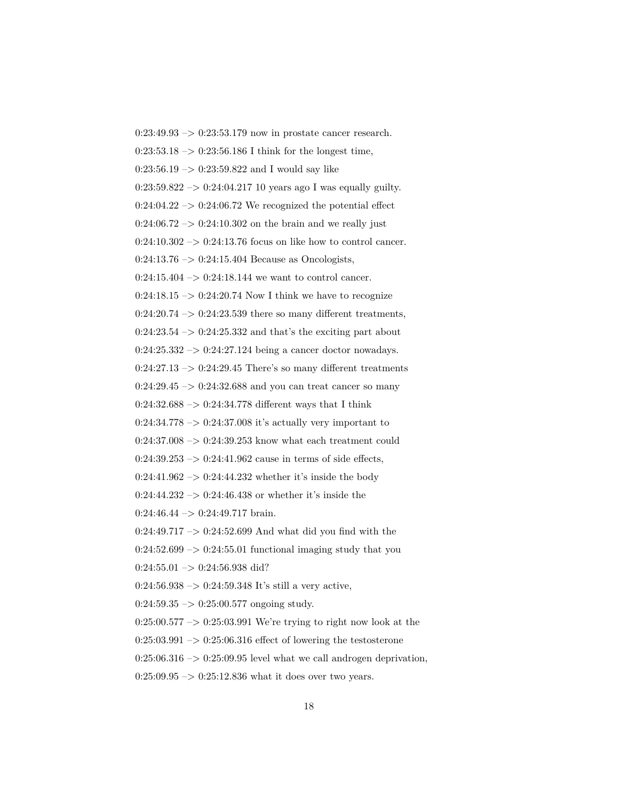0:23:49.93 –> 0:23:53.179 now in prostate cancer research.  $0:23:53.18 \rightarrow 0:23:56.186$  I think for the longest time,  $0:23:56.19 \rightarrow 0:23:59.822$  and I would say like  $0:23:59.822 \rightarrow 0:24:04.21710$  years ago I was equally guilty.  $0:24:04.22 \rightarrow 0:24:06.72$  We recognized the potential effect  $0:24:06.72 \rightarrow 0:24:10.302$  on the brain and we really just  $0:24:10.302 \rightarrow 0:24:13.76$  focus on like how to control cancer.  $0:24:13.76 \rightarrow 0:24:15.404$  Because as Oncologists,  $0:24:15.404 \rightarrow 0:24:18.144$  we want to control cancer.  $0:24:18.15 \rightarrow 0:24:20.74$  Now I think we have to recognize  $0:24:20.74 \rightarrow 0:24:23.539$  there so many different treatments,  $0:24:23.54 \rightarrow 0:24:25.332$  and that's the exciting part about  $0:24:25.332 \rightarrow 0:24:27.124$  being a cancer doctor nowadays.  $0:24:27.13 \rightarrow 0:24:29.45$  There's so many different treatments  $0:24:29.45 \rightarrow 0:24:32.688$  and you can treat cancer so many  $0:24:32.688 \rightarrow 0:24:34.778$  different ways that I think  $0:24:34.778 \rightarrow 0:24:37.008$  it's actually very important to  $0:24:37.008 \rightarrow 0:24:39.253$  know what each treatment could  $0:24:39.253 \rightarrow 0:24:41.962$  cause in terms of side effects,  $0:24:41.962 \rightarrow 0:24:44.232$  whether it's inside the body  $0:24:44.232 \rightarrow 0:24:46.438$  or whether it's inside the  $0:24:46.44 \rightarrow 0:24:49.717 \text{ brain.}$ 0:24:49.717 –> 0:24:52.699 And what did you find with the  $0:24:52.699 \rightarrow 0:24:55.01$  functional imaging study that you  $0:24:55.01 \rightarrow 0:24:56.938 \text{ did?}$  $0:24:56.938 \rightarrow 0:24:59.348$  It's still a very active,  $0:24:59.35 \rightarrow 0:25:00.577$  ongoing study.  $0:25:00.577 \rightarrow 0:25:03.991$  We're trying to right now look at the  $0:25:03.991 \rightarrow 0:25:06.316$  effect of lowering the testosterone  $0:25:06.316 \rightarrow 0:25:09.95$  level what we call androgen deprivation,  $0:25:09.95 \rightarrow 0:25:12.836$  what it does over two years.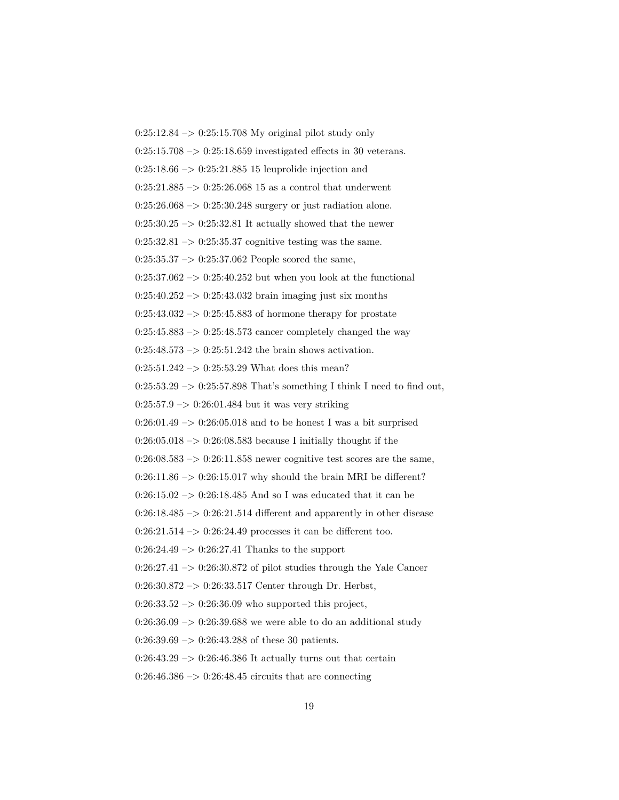$0:25:12.84 \rightarrow 0:25:15.708$  My original pilot study only  $0:25:15.708 \rightarrow 0:25:18.659$  investigated effects in 30 veterans.  $0:25:18.66 \rightarrow 0:25:21.885$  15 leuprolide injection and  $0:25:21.885 \rightarrow 0:25:26.068$  15 as a control that underwent  $0:25:26.068 \rightarrow 0:25:30.248$  surgery or just radiation alone.  $0:25:30.25 \rightarrow 0:25:32.81$  It actually showed that the newer  $0:25:32.81 \rightarrow 0:25:35.37$  cognitive testing was the same.  $0:25:35.37 \rightarrow 0:25:37.062$  People scored the same,  $0:25:37.062 \rightarrow 0:25:40.252$  but when you look at the functional  $0:25:40.252 \rightarrow 0:25:43.032$  brain imaging just six months  $0:25:43.032 \rightarrow 0:25:45.883$  of hormone therapy for prostate  $0.25{:}45.883\ensuremath{\rightarrow} 0{:}25{:}48.573$  cancer completely changed the way  $0:25:48.573 \rightarrow 0:25:51.242$  the brain shows activation.  $0:25:51.242 \rightarrow 0:25:53.29$  What does this mean?  $0:25:53.29 \rightarrow 0:25:57.898$  That's something I think I need to find out,  $0:25:57.9 \rightarrow 0:26:01.484$  but it was very striking  $0:26:01.49 \rightarrow 0:26:05.018$  and to be honest I was a bit surprised  $0:26:05.018 \rightarrow 0:26:08.583$  because I initially thought if the  $0:26:08.583 \rightarrow 0:26:11.858$  newer cognitive test scores are the same,  $0:26:11.86 \rightarrow 0:26:15.017$  why should the brain MRI be different?  $0:26:15.02 \ensuremath{\rightarrow} 0.26:18.485$  And so I was educated that it can be  $0:26:18.485 \rightarrow 0:26:21.514$  different and apparently in other disease  $0:26:21.514 \rightarrow 0:26:24.49$  processes it can be different too.  $0:26:24.49 \rightarrow 0:26:27.41$  Thanks to the support  $0:26:27.41 \rightarrow 0:26:30.872$  of pilot studies through the Yale Cancer 0:26:30.872 –> 0:26:33.517 Center through Dr. Herbst,  $0:26:33.52 \rightarrow 0:26:36.09$  who supported this project,  $0:26:36.09 \rightarrow 0:26:39.688$  we were able to do an additional study  $0:26:39.69 \rightarrow 0:26:43.288$  of these 30 patients.  $0:26:43.29 \rightarrow 0:26:46.386$  It actually turns out that certain  $0:26:46.386 \rightarrow 0:26:48.45$  circuits that are connecting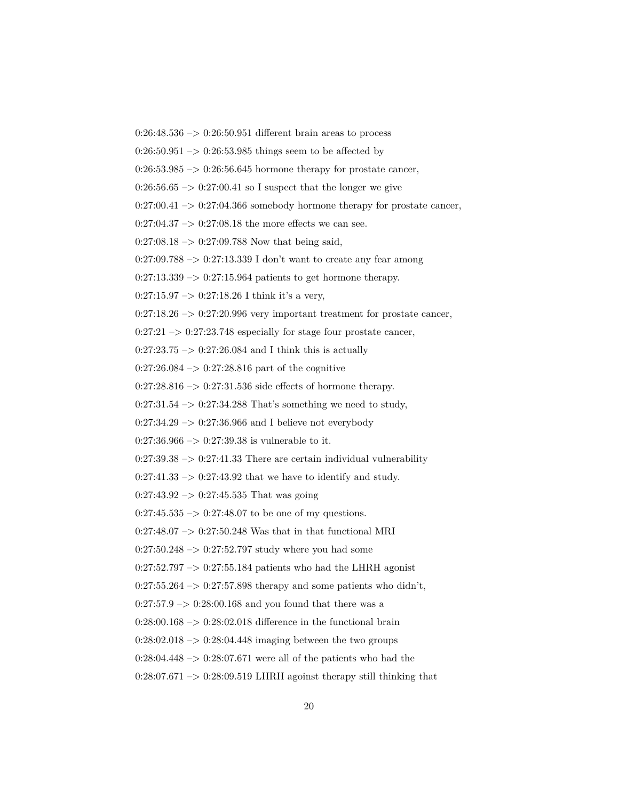$0:26:48.536 \rightarrow 0:26:50.951$  different brain areas to process

 $0:26:50.951 \rightarrow 0:26:53.985$  things seem to be affected by

 $0:26:53.985 \rightarrow 0:26:56.645$  hormone therapy for prostate cancer,

 $0:26:56.65 \rightarrow 0:27:00.41$  so I suspect that the longer we give

 $0:27:00.41 \rightarrow 0:27:04.366$  somebody hormone therapy for prostate cancer,

 $0:27:04.37 \rightarrow 0:27:08.18$  the more effects we can see.

 $0:27:08.18 \rightarrow 0:27:09.788$  Now that being said,

 $0:27:09.788 \rightarrow 0:27:13.339$  I don't want to create any fear among

 $0:27:13.339 \rightarrow 0:27:15.964$  patients to get hormone therapy.

 $0:27:15.97 \rightarrow 0:27:18.26$  I think it's a very,

 $0:27:18.26 \rightarrow 0:27:20.996$  very important treatment for prostate cancer,

 $0:27:21 \rightarrow 0:27:23.748$  especially for stage four prostate cancer,

 $0:27:23.75 \rightarrow 0:27:26.084$  and I think this is actually

 $0:27:26.084 \rightarrow 0:27:28.816$  part of the cognitive

 $0:27:28.816 \rightarrow 0:27:31.536$  side effects of hormone therapy.

 $0:27:31.54 \rightarrow 0:27:34.288$  That's something we need to study,

 $0:27:34.29 \rightarrow 0:27:36.966$  and I believe not everybody

 $0:27:36.966 \rightarrow 0:27:39.38$  is vulnerable to it.

 $0:27:39.38 \rightarrow 0:27:41.33$  There are certain individual vulnerability

 $0:27:41.33 \rightarrow 0:27:43.92$  that we have to identify and study.

 $0:27:43.92 \rightarrow 0:27:45.535$  That was going

 $0:27:45.535 \rightarrow 0:27:48.07$  to be one of my questions.

 $0:27:48.07 \rightarrow 0:27:50.248$  Was that in that functional MRI

 $0:27:50.248 \rightarrow 0:27:52.797$  study where you had some

 $0:27:52.797 \rightarrow 0:27:55.184$  patients who had the LHRH agonist

 $0:27:55.264 \rightarrow 0:27:57.898$  therapy and some patients who didn't,

 $0:27:57.9 \rightarrow 0:28:00.168$  and you found that there was a

 $0:28:00.168 \rightarrow 0:28:02.018$  difference in the functional brain

 $0:28:02.018 \rightarrow 0:28:04.448$  imaging between the two groups

 $0:28:04.448 \rightarrow 0:28:07.671$  were all of the patients who had the

 $0:28:07.671 \rightarrow 0:28:09.519$  LHRH agoinst therapy still thinking that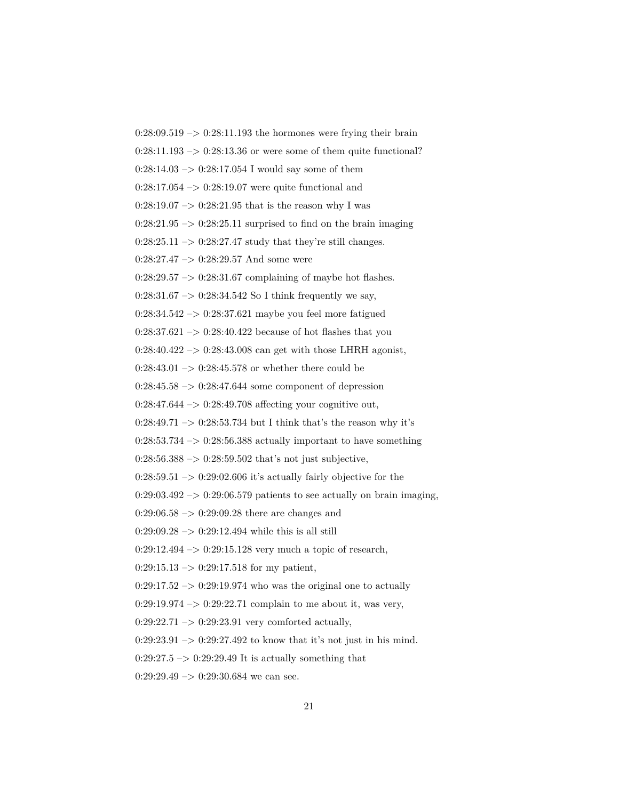$0:28:09.519 \rightarrow 0:28:11.193$  the hormones were frying their brain  $0:28:11.193 \rightarrow 0:28:13.36$  or were some of them quite functional?  $0:28:14.03 \rightarrow 0:28:17.054$  I would say some of them  $0:28:17.054 \rightarrow 0:28:19.07$  were quite functional and  $0:28:19.07 \rightarrow 0:28:21.95$  that is the reason why I was  $0:28:21.95 \rightarrow 0:28:25.11$  surprised to find on the brain imaging  $0:28:25.11 \rightarrow 0:28:27.47$  study that they're still changes.  $0:28:27.47 \rightarrow 0:28:29.57$  And some were  $0:28:29.57 \rightarrow 0:28:31.67$  complaining of maybe hot flashes. 0:28:31.67  $\rightarrow$  0:28:34.542 So I think frequently we say,  $0:28:34.542 \rightarrow 0:28:37.621$  maybe you feel more fatigued 0:28:37.621  $\rightarrow$  0:28:40.422 because of hot flashes that you  $0:28:40.422 \rightarrow 0:28:43.008$  can get with those LHRH agonist,  $0:28:43.01 \rightarrow 0:28:45.578$  or whether there could be  $0:28:45.58 \rightarrow 0:28:47.644$  some component of depression  $0:28:47.644 \rightarrow 0:28:49.708$  affecting your cognitive out,  $0:28:49.71 \rightarrow 0:28:53.734$  but I think that's the reason why it's  $0:28:53.734 \rightarrow 0:28:56.388$  actually important to have something  $0:28:56.388 \rightarrow 0:28:59.502$  that's not just subjective,  $0:28:59.51 \rightarrow 0:29:02.606$  it's actually fairly objective for the  $0:29:03.492 \rightarrow 0:29:06.579$  patients to see actually on brain imaging,  $0:29:06.58 \rightarrow 0:29:09.28$  there are changes and  $0:29:09.28 \rightarrow 0:29:12.494$  while this is all still  $0:29:12.494 \rightarrow 0:29:15.128$  very much a topic of research,  $0:29:15.13 \rightarrow 0:29:17.518$  for my patient,  $0:29:17.52 \rightarrow 0:29:19.974$  who was the original one to actually  $0:29:19.974 \rightarrow 0:29:22.71$  complain to me about it, was very,  $0:29:22.71 \rightarrow 0:29:23.91$  very comforted actually,  $0:29:23.91 \rightarrow 0:29:27.492$  to know that it's not just in his mind.  $0:29:27.5 \rightarrow 0:29:29.49$  It is actually something that  $0:29:29.49 \rightarrow 0:29:30.684$  we can see.